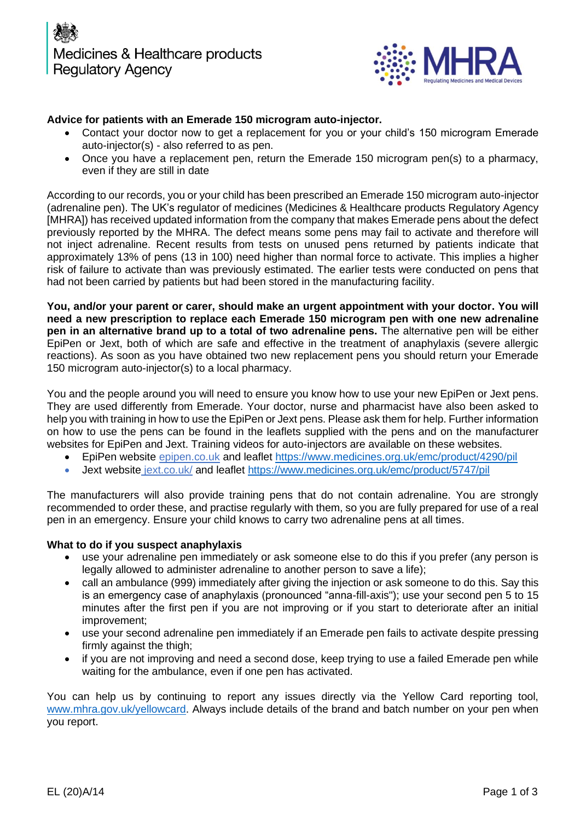

# **Advice for patients with an Emerade 150 microgram auto-injector.**

- Contact your doctor now to get a replacement for you or your child's 150 microgram Emerade auto-injector(s) - also referred to as pen.
- Once you have a replacement pen, return the Emerade 150 microgram pen(s) to a pharmacy, even if they are still in date

According to our records, you or your child has been prescribed an Emerade 150 microgram auto-injector (adrenaline pen). The UK's regulator of medicines (Medicines & Healthcare products Regulatory Agency [MHRA]) has received updated information from the company that makes Emerade pens about the defect previously reported by the MHRA. The defect means some pens may fail to activate and therefore will not inject adrenaline. Recent results from tests on unused pens returned by patients indicate that approximately 13% of pens (13 in 100) need higher than normal force to activate. This implies a higher risk of failure to activate than was previously estimated. The earlier tests were conducted on pens that had not been carried by patients but had been stored in the manufacturing facility.

**You, and/or your parent or carer, should make an urgent appointment with your doctor. You will need a new prescription to replace each Emerade 150 microgram pen with one new adrenaline pen in an alternative brand up to a total of two adrenaline pens.** The alternative pen will be either EpiPen or Jext, both of which are safe and effective in the treatment of anaphylaxis (severe allergic reactions). As soon as you have obtained two new replacement pens you should return your Emerade 150 microgram auto-injector(s) to a local pharmacy.

You and the people around you will need to ensure you know how to use your new EpiPen or Jext pens. They are used differently from Emerade. Your doctor, nurse and pharmacist have also been asked to help you with training in how to use the EpiPen or Jext pens. Please ask them for help. Further information on how to use the pens can be found in the leaflets supplied with the pens and on the manufacturer websites for EpiPen and Jext. Training videos for auto-injectors are available on these websites.

- EpiPen website [epipen.co.uk](http://www.epipen.co.uk/) and leaflet<https://www.medicines.org.uk/emc/product/4290/pil>
- Jext website [jext.co.uk/](https://jext.co.uk/) and leaflet<https://www.medicines.org.uk/emc/product/5747/pil>

The manufacturers will also provide training pens that do not contain adrenaline. You are strongly recommended to order these, and practise regularly with them, so you are fully prepared for use of a real pen in an emergency. Ensure your child knows to carry two adrenaline pens at all times.

## **What to do if you suspect anaphylaxis**

- use your adrenaline pen immediately or ask someone else to do this if you prefer (any person is legally allowed to administer adrenaline to another person to save a life);
- call an ambulance (999) immediately after giving the injection or ask someone to do this. Say this is an emergency case of anaphylaxis (pronounced "anna-fill-axis"); use your second pen 5 to 15 minutes after the first pen if you are not improving or if you start to deteriorate after an initial improvement;
- use your second adrenaline pen immediately if an Emerade pen fails to activate despite pressing firmly against the thigh;
- if you are not improving and need a second dose, keep trying to use a failed Emerade pen while waiting for the ambulance, even if one pen has activated.

You can help us by continuing to report any issues directly via the Yellow Card reporting tool, [www.mhra.gov.uk/yellowcard.](http://www.mhra.gov.uk/yellowcard) Always include details of the brand and batch number on your pen when you report.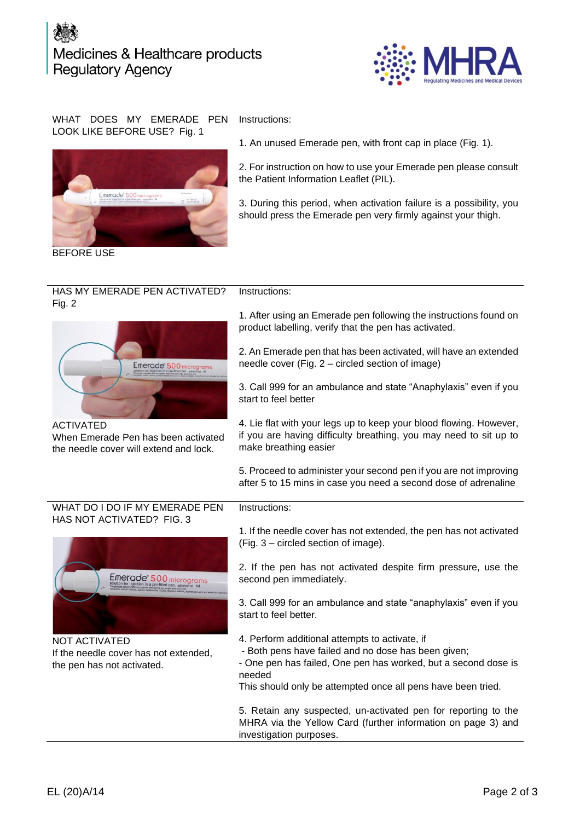# Medicines & Healthcare products **Regulatory Agency**



### WHAT DOES MY EMERADE PEN LOOK LIKE BEFORE USE? Fig. 1



BEFORE USE

Instructions:

Instructions:

1. An unused Emerade pen, with front cap in place (Fig. 1).

2. For instruction on how to use your Emerade pen please consult the Patient Information Leaflet (PIL).

3. During this period, when activation failure is a possibility, you should press the Emerade pen very firmly against your thigh.

#### HAS MY EMERADE PEN ACTIVATED? Fig. 2 Instructions:



When Emerade Pen has been activated the needle cover will extend and lock.

1. After using an Emerade pen following the instructions found on product labelling, verify that the pen has activated.

2. An Emerade pen that has been activated, will have an extended needle cover (Fig. 2 – circled section of image)

3. Call 999 for an ambulance and state "Anaphylaxis" even if you start to feel better

4. Lie flat with your legs up to keep your blood flowing. However, if you are having difficulty breathing, you may need to sit up to make breathing easier

5. Proceed to administer your second pen if you are not improving after 5 to 15 mins in case you need a second dose of adrenaline

### WHAT DO I DO IF MY EMERADE PEN HAS NOT ACTIVATED? FIG. 3



NOT ACTIVATED If the needle cover has not extended, the pen has not activated.

1. If the needle cover has not extended, the pen has not activated (Fig. 3 – circled section of image).

2. If the pen has not activated despite firm pressure, use the second pen immediately.

3. Call 999 for an ambulance and state "anaphylaxis" even if you start to feel better.

- 4. Perform additional attempts to activate, if
- Both pens have failed and no dose has been given;
- One pen has failed, One pen has worked, but a second dose is needed

This should only be attempted once all pens have been tried.

5. Retain any suspected, un-activated pen for reporting to the MHRA via the Yellow Card (further information on page 3) and investigation purposes.